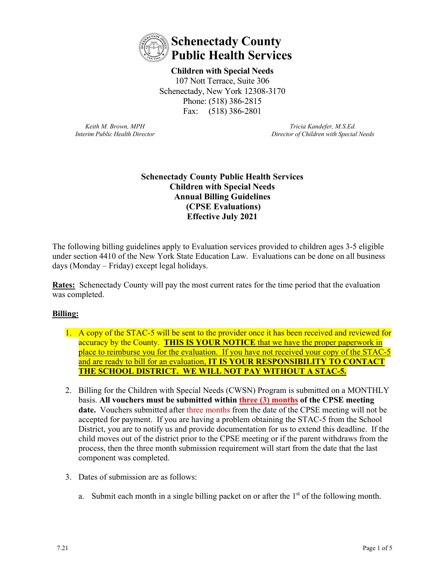

**Children with Special Needs**  107 Nott Terrace, Suite 306 Schenectady, New York 12308-3170 Phone: (518) 386-2815 Fax: (518) 386-2801

*Keith M. Brown, MPH Interim Public Health Director*

*Tricia Kandefer, M.S.Ed. Director of Children with Special Needs*

## **Schenectady County Public Health Services Children with Special Needs Annual Billing Guidelines (CPSE Evaluations) Effective July 2021**

The following billing guidelines apply to Evaluation services provided to children ages 3-5 eligible under section 4410 of the New York State Education Law. Evaluations can be done on all business days (Monday – Friday) except legal holidays.

**Rates:** Schenectady County will pay the most current rates for the time period that the evaluation was completed.

# **Billing:**

- 1. A copy of the STAC-5 will be sent to the provider once it has been received and reviewed for accuracy by the County. **THIS IS YOUR NOTICE** that we have the proper paperwork in place to reimburse you for the evaluation. If you have not received your copy of the STAC-5 and are ready to bill for an evaluation, **IT IS YOUR RESPONSIBILITY TO CONTACT THE SCHOOL DISTRICT. WE WILL NOT PAY WITHOUT A STAC-5.**
- 2. Billing for the Children with Special Needs (CWSN) Program is submitted on a MONTHLY basis. **All vouchers must be submitted within three (3) months of the CPSE meeting date.** Vouchers submitted after three months from the date of the CPSE meeting will not be accepted for payment. If you are having a problem obtaining the STAC-5 from the School District, you are to notify us and provide documentation for us to extend this deadline. If the child moves out of the district prior to the CPSE meeting or if the parent withdraws from the process, then the three month submission requirement will start from the date that the last component was completed.
- 3. Dates of submission are as follows:
	- a. Submit each month in a single billing packet on or after the  $1<sup>st</sup>$  of the following month.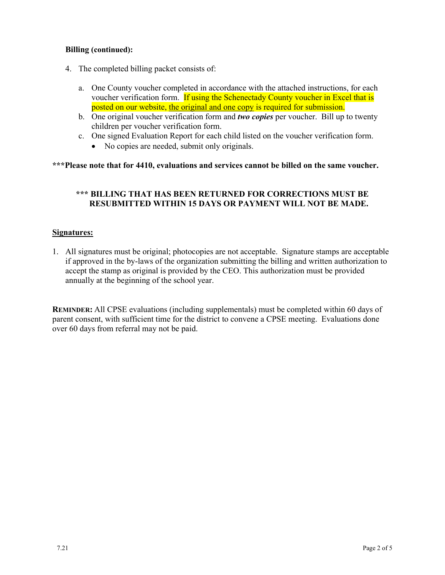## **Billing (continued):**

- 4. The completed billing packet consists of:
	- a. One County voucher completed in accordance with the attached instructions, for each voucher verification form. If using the Schenectady County voucher in Excel that is posted on our website, the original and one copy is required for submission.
	- b. One original voucher verification form and *two copies* per voucher. Bill up to twenty children per voucher verification form.
	- c. One signed Evaluation Report for each child listed on the voucher verification form.
		- No copies are needed, submit only originals.

#### **\*\*\*Please note that for 4410, evaluations and services cannot be billed on the same voucher.**

## **\*\*\* BILLING THAT HAS BEEN RETURNED FOR CORRECTIONS MUST BE RESUBMITTED WITHIN 15 DAYS OR PAYMENT WILL NOT BE MADE.**

#### **Signatures:**

1. All signatures must be original; photocopies are not acceptable. Signature stamps are acceptable if approved in the by-laws of the organization submitting the billing and written authorization to accept the stamp as original is provided by the CEO. This authorization must be provided annually at the beginning of the school year.

**REMINDER:** All CPSE evaluations (including supplementals) must be completed within 60 days of parent consent, with sufficient time for the district to convene a CPSE meeting. Evaluations done over 60 days from referral may not be paid.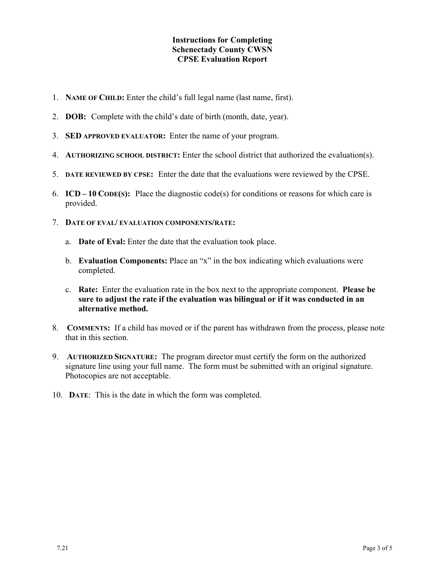#### **Instructions for Completing Schenectady County CWSN CPSE Evaluation Report**

- 1. **NAME OF CHILD:** Enter the child's full legal name (last name, first).
- 2. **DOB:** Complete with the child's date of birth (month, date, year).
- 3. **SED APPROVED EVALUATOR:** Enter the name of your program.
- 4. **AUTHORIZING SCHOOL DISTRICT:** Enter the school district that authorized the evaluation(s).
- 5. **DATE REVIEWED BY CPSE:** Enter the date that the evaluations were reviewed by the CPSE.
- 6. **ICD – 10 CODE(S):** Place the diagnostic code(s) for conditions or reasons for which care is provided.
- 7. **DATE OF EVAL/ EVALUATION COMPONENTS/RATE:**
	- a. **Date of Eval:** Enter the date that the evaluation took place.
	- b. **Evaluation Components:** Place an "x" in the box indicating which evaluations were completed.
	- c. **Rate:** Enter the evaluation rate in the box next to the appropriate component. **Please be sure to adjust the rate if the evaluation was bilingual or if it was conducted in an alternative method.**
- 8. **COMMENTS:** If a child has moved or if the parent has withdrawn from the process, please note that in this section.
- 9. **AUTHORIZED SIGNATURE:** The program director must certify the form on the authorized signature line using your full name. The form must be submitted with an original signature. Photocopies are not acceptable.
- 10. **DATE**: This is the date in which the form was completed.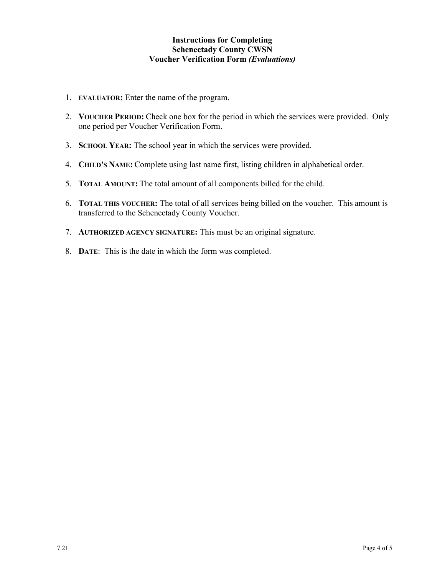## **Instructions for Completing Schenectady County CWSN Voucher Verification Form** *(Evaluations)*

- 1. **EVALUATOR:** Enter the name of the program.
- 2. **VOUCHER PERIOD:** Check one box for the period in which the services were provided. Only one period per Voucher Verification Form.
- 3. **SCHOOL YEAR:** The school year in which the services were provided.
- 4. **CHILD'S NAME:** Complete using last name first, listing children in alphabetical order.
- 5. **TOTAL AMOUNT:** The total amount of all components billed for the child.
- 6. **TOTAL THIS VOUCHER:** The total of all services being billed on the voucher. This amount is transferred to the Schenectady County Voucher.
- 7. **AUTHORIZED AGENCY SIGNATURE:** This must be an original signature.
- 8. **DATE**: This is the date in which the form was completed.